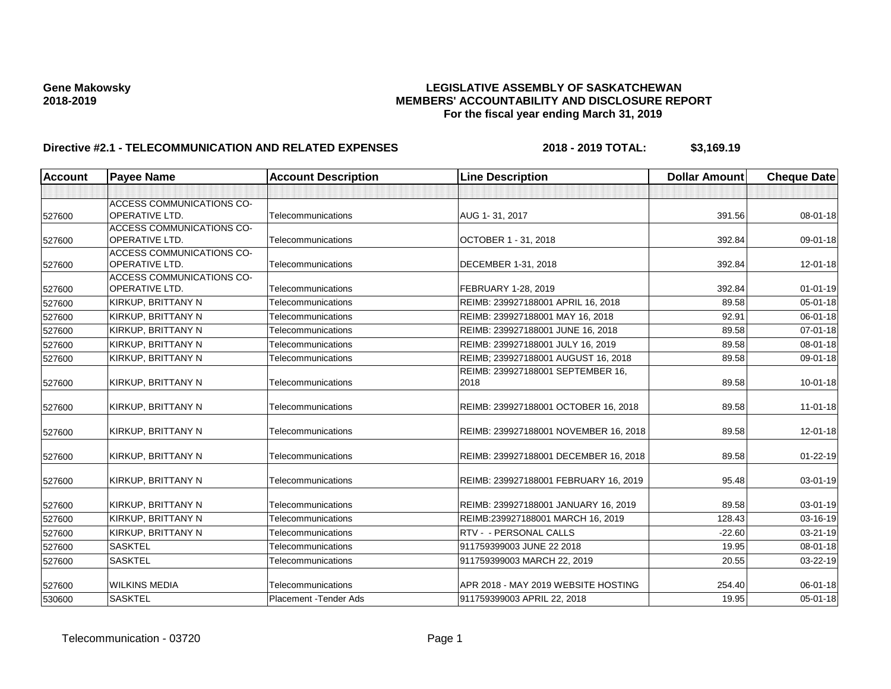| <b>Account</b> | <b>Payee Name</b>                | <b>Account Description</b> | <b>Line Description</b>               | <b>Dollar Amount</b> | <b>Cheque Date</b> |
|----------------|----------------------------------|----------------------------|---------------------------------------|----------------------|--------------------|
|                |                                  |                            |                                       |                      |                    |
|                | ACCESS COMMUNICATIONS CO-        |                            |                                       |                      |                    |
| 527600         | <b>OPERATIVE LTD.</b>            | Telecommunications         | AUG 1-31, 2017                        | 391.56               | 08-01-18           |
|                | <b>ACCESS COMMUNICATIONS CO-</b> |                            |                                       |                      |                    |
| 527600         | <b>OPERATIVE LTD.</b>            | Telecommunications         | OCTOBER 1 - 31, 2018                  | 392.84               | 09-01-18           |
|                | ACCESS COMMUNICATIONS CO-        |                            |                                       |                      |                    |
| 527600         | <b>OPERATIVE LTD.</b>            | Telecommunications         | DECEMBER 1-31, 2018                   | 392.84               | $12 - 01 - 18$     |
|                | <b>ACCESS COMMUNICATIONS CO-</b> |                            |                                       |                      |                    |
| 527600         | OPERATIVE LTD.                   | Telecommunications         | FEBRUARY 1-28, 2019                   | 392.84               | $01 - 01 - 19$     |
| 527600         | KIRKUP, BRITTANY N               | Telecommunications         | REIMB: 239927188001 APRIL 16, 2018    | 89.58                | 05-01-18           |
| 527600         | KIRKUP, BRITTANY N               | Telecommunications         | REIMB: 239927188001 MAY 16, 2018      | 92.91                | 06-01-18           |
| 527600         | KIRKUP, BRITTANY N               | Telecommunications         | REIMB: 239927188001 JUNE 16, 2018     | 89.58                | $07 - 01 - 18$     |
| 527600         | KIRKUP, BRITTANY N               | Telecommunications         | REIMB: 239927188001 JULY 16, 2019     | 89.58                | $08 - 01 - 18$     |
| 527600         | KIRKUP, BRITTANY N               | Telecommunications         | REIMB; 239927188001 AUGUST 16, 2018   | 89.58                | 09-01-18           |
|                |                                  |                            | REIMB: 239927188001 SEPTEMBER 16,     |                      |                    |
| 527600         | KIRKUP, BRITTANY N               | Telecommunications         | 2018                                  | 89.58                | $10 - 01 - 18$     |
| 527600         | KIRKUP, BRITTANY N               | Telecommunications         | REIMB: 239927188001 OCTOBER 16, 2018  | 89.58                | $11 - 01 - 18$     |
| 527600         | KIRKUP, BRITTANY N               | Telecommunications         | REIMB: 239927188001 NOVEMBER 16, 2018 | 89.58                | $12 - 01 - 18$     |
| 527600         | KIRKUP, BRITTANY N               | Telecommunications         | REIMB: 239927188001 DECEMBER 16, 2018 | 89.58                | $01 - 22 - 19$     |
| 527600         | KIRKUP, BRITTANY N               | Telecommunications         | REIMB: 239927188001 FEBRUARY 16, 2019 | 95.48                | 03-01-19           |
| 527600         | KIRKUP, BRITTANY N               | Telecommunications         | REIMB: 239927188001 JANUARY 16, 2019  | 89.58                | 03-01-19           |
| 527600         | KIRKUP, BRITTANY N               | Telecommunications         | REIMB:239927188001 MARCH 16, 2019     | 128.43               | 03-16-19           |
| 527600         | KIRKUP, BRITTANY N               | Telecommunications         | RTV - - PERSONAL CALLS                | $-22.60$             | 03-21-19           |
| 527600         | <b>SASKTEL</b>                   | Telecommunications         | 911759399003 JUNE 22 2018             | 19.95                | $08 - 01 - 18$     |
| 527600         | <b>SASKTEL</b>                   | Telecommunications         | 911759399003 MARCH 22, 2019           | 20.55                | 03-22-19           |
|                |                                  |                            |                                       |                      |                    |
| 527600         | <b>WILKINS MEDIA</b>             | Telecommunications         | APR 2018 - MAY 2019 WEBSITE HOSTING   | 254.40               | $06 - 01 - 18$     |
| 530600         | <b>SASKTEL</b>                   | Placement - Tender Ads     | 911759399003 APRIL 22, 2018           | 19.95                | 05-01-18           |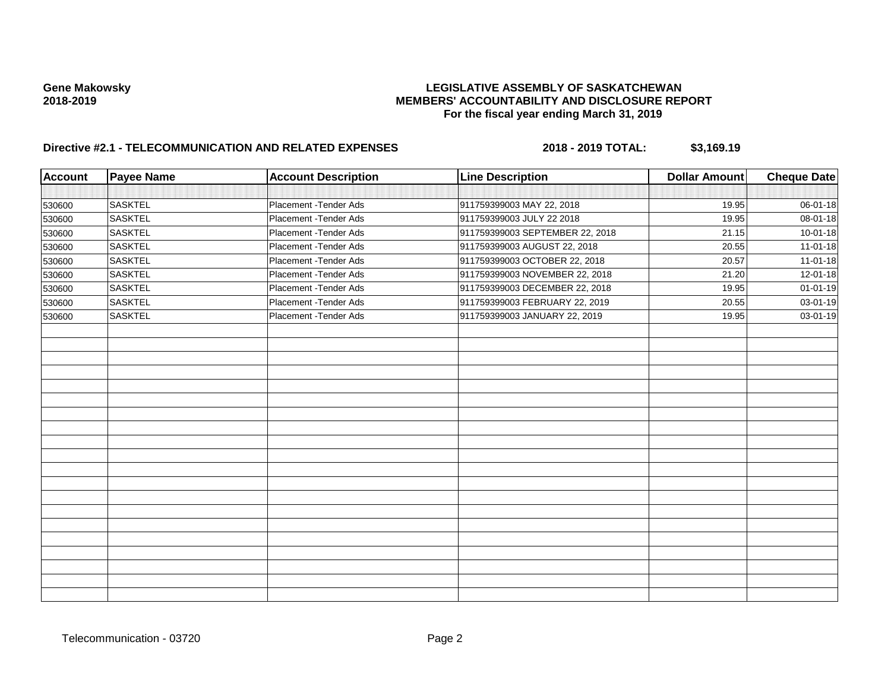| <b>Account</b> | <b>Payee Name</b> | <b>Account Description</b> | <b>Line Description</b>         | <b>Dollar Amount</b> | <b>Cheque Date</b> |
|----------------|-------------------|----------------------------|---------------------------------|----------------------|--------------------|
|                |                   |                            |                                 |                      |                    |
| 530600         | <b>SASKTEL</b>    | Placement - Tender Ads     | 911759399003 MAY 22, 2018       | 19.95                | 06-01-18           |
| 530600         | <b>SASKTEL</b>    | Placement - Tender Ads     | 911759399003 JULY 22 2018       | 19.95                | 08-01-18           |
| 530600         | <b>SASKTEL</b>    | Placement - Tender Ads     | 911759399003 SEPTEMBER 22, 2018 | 21.15                | $10 - 01 - 18$     |
| 530600         | <b>SASKTEL</b>    | Placement - Tender Ads     | 911759399003 AUGUST 22, 2018    | 20.55                | $11 - 01 - 18$     |
| 530600         | <b>SASKTEL</b>    | Placement - Tender Ads     | 911759399003 OCTOBER 22, 2018   | 20.57                | $11-01-18$         |
| 530600         | <b>SASKTEL</b>    | Placement - Tender Ads     | 911759399003 NOVEMBER 22, 2018  | 21.20                | 12-01-18           |
| 530600         | <b>SASKTEL</b>    | Placement - Tender Ads     | 911759399003 DECEMBER 22, 2018  | 19.95                | $01 - 01 - 19$     |
| 530600         | <b>SASKTEL</b>    | Placement - Tender Ads     | 911759399003 FEBRUARY 22, 2019  | 20.55                | 03-01-19           |
| 530600         | <b>SASKTEL</b>    | Placement - Tender Ads     | 911759399003 JANUARY 22, 2019   | 19.95                | 03-01-19           |
|                |                   |                            |                                 |                      |                    |
|                |                   |                            |                                 |                      |                    |
|                |                   |                            |                                 |                      |                    |
|                |                   |                            |                                 |                      |                    |
|                |                   |                            |                                 |                      |                    |
|                |                   |                            |                                 |                      |                    |
|                |                   |                            |                                 |                      |                    |
|                |                   |                            |                                 |                      |                    |
|                |                   |                            |                                 |                      |                    |
|                |                   |                            |                                 |                      |                    |
|                |                   |                            |                                 |                      |                    |
|                |                   |                            |                                 |                      |                    |
|                |                   |                            |                                 |                      |                    |
|                |                   |                            |                                 |                      |                    |
|                |                   |                            |                                 |                      |                    |
|                |                   |                            |                                 |                      |                    |
|                |                   |                            |                                 |                      |                    |
|                |                   |                            |                                 |                      |                    |
|                |                   |                            |                                 |                      |                    |
|                |                   |                            |                                 |                      |                    |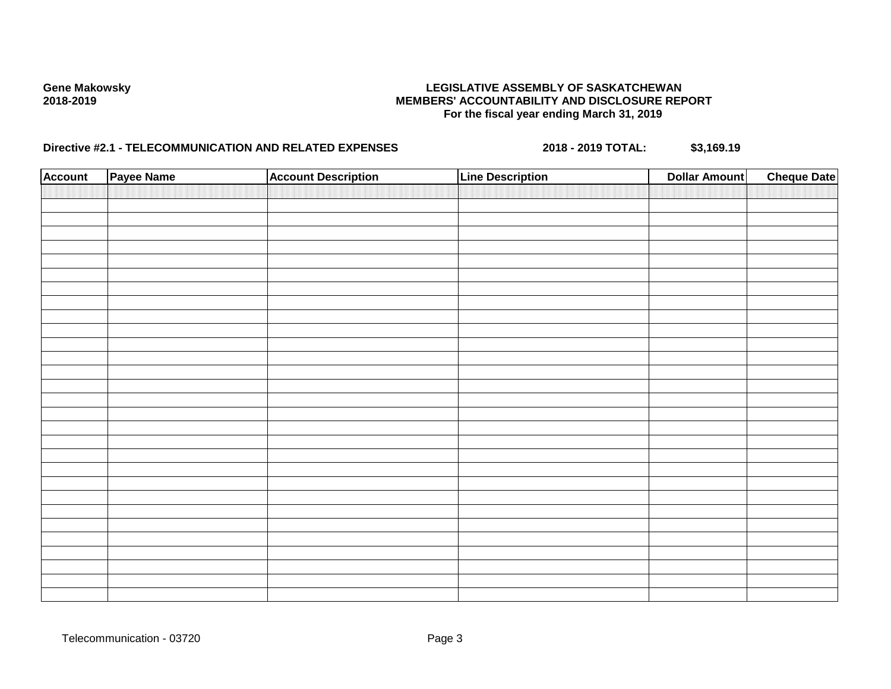| <b>Account</b> | Payee Name | <b>Account Description</b> | <b>Line Description</b> | <b>Dollar Amount</b> | <b>Cheque Date</b> |
|----------------|------------|----------------------------|-------------------------|----------------------|--------------------|
|                |            |                            |                         |                      |                    |
|                |            |                            |                         |                      |                    |
|                |            |                            |                         |                      |                    |
|                |            |                            |                         |                      |                    |
|                |            |                            |                         |                      |                    |
|                |            |                            |                         |                      |                    |
|                |            |                            |                         |                      |                    |
|                |            |                            |                         |                      |                    |
|                |            |                            |                         |                      |                    |
|                |            |                            |                         |                      |                    |
|                |            |                            |                         |                      |                    |
|                |            |                            |                         |                      |                    |
|                |            |                            |                         |                      |                    |
|                |            |                            |                         |                      |                    |
|                |            |                            |                         |                      |                    |
|                |            |                            |                         |                      |                    |
|                |            |                            |                         |                      |                    |
|                |            |                            |                         |                      |                    |
|                |            |                            |                         |                      |                    |
|                |            |                            |                         |                      |                    |
|                |            |                            |                         |                      |                    |
|                |            |                            |                         |                      |                    |
|                |            |                            |                         |                      |                    |
|                |            |                            |                         |                      |                    |
|                |            |                            |                         |                      |                    |
|                |            |                            |                         |                      |                    |
|                |            |                            |                         |                      |                    |
|                |            |                            |                         |                      |                    |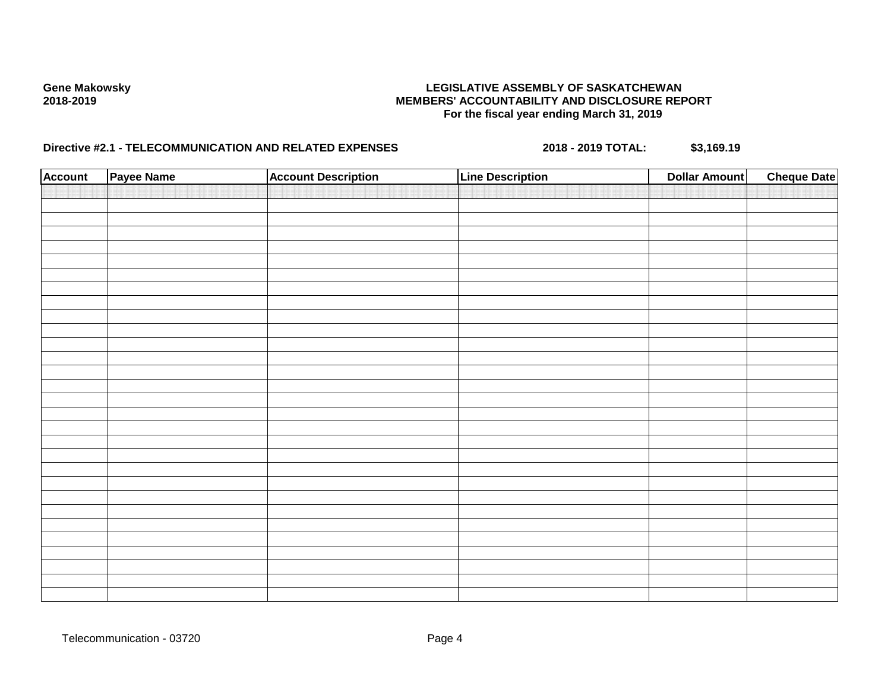| <b>Account</b> | Payee Name | <b>Account Description</b> | <b>Line Description</b> | <b>Dollar Amount</b> | <b>Cheque Date</b> |
|----------------|------------|----------------------------|-------------------------|----------------------|--------------------|
|                |            |                            |                         |                      |                    |
|                |            |                            |                         |                      |                    |
|                |            |                            |                         |                      |                    |
|                |            |                            |                         |                      |                    |
|                |            |                            |                         |                      |                    |
|                |            |                            |                         |                      |                    |
|                |            |                            |                         |                      |                    |
|                |            |                            |                         |                      |                    |
|                |            |                            |                         |                      |                    |
|                |            |                            |                         |                      |                    |
|                |            |                            |                         |                      |                    |
|                |            |                            |                         |                      |                    |
|                |            |                            |                         |                      |                    |
|                |            |                            |                         |                      |                    |
|                |            |                            |                         |                      |                    |
|                |            |                            |                         |                      |                    |
|                |            |                            |                         |                      |                    |
|                |            |                            |                         |                      |                    |
|                |            |                            |                         |                      |                    |
|                |            |                            |                         |                      |                    |
|                |            |                            |                         |                      |                    |
|                |            |                            |                         |                      |                    |
|                |            |                            |                         |                      |                    |
|                |            |                            |                         |                      |                    |
|                |            |                            |                         |                      |                    |
|                |            |                            |                         |                      |                    |
|                |            |                            |                         |                      |                    |
|                |            |                            |                         |                      |                    |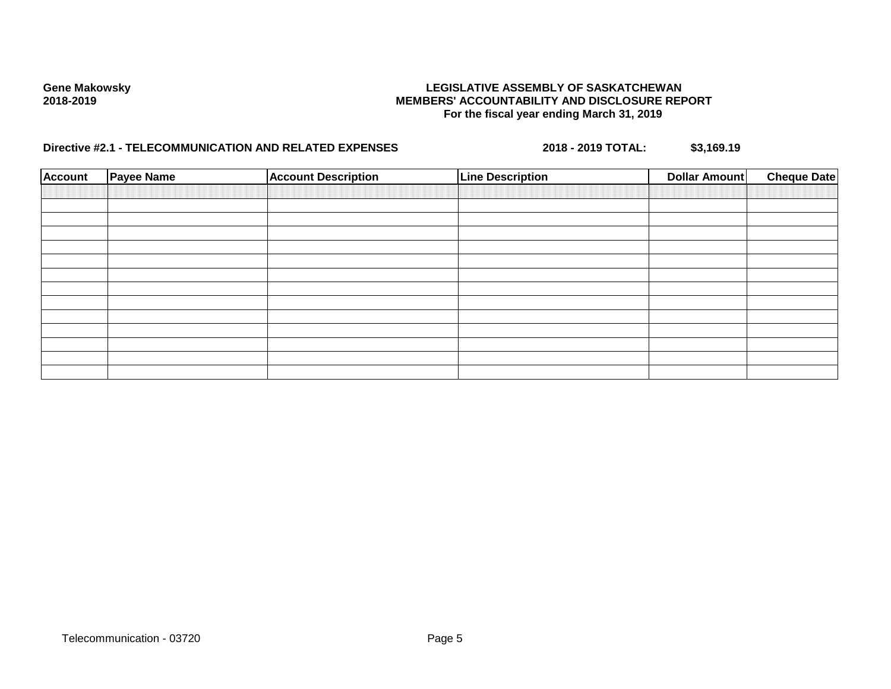| <b>Account</b> | <b>Payee Name</b> | <b>Account Description</b> | <b>Line Description</b> | <b>Dollar Amount</b> | <b>Cheque Date</b> |
|----------------|-------------------|----------------------------|-------------------------|----------------------|--------------------|
|                |                   |                            |                         |                      |                    |
|                |                   |                            |                         |                      |                    |
|                |                   |                            |                         |                      |                    |
|                |                   |                            |                         |                      |                    |
|                |                   |                            |                         |                      |                    |
|                |                   |                            |                         |                      |                    |
|                |                   |                            |                         |                      |                    |
|                |                   |                            |                         |                      |                    |
|                |                   |                            |                         |                      |                    |
|                |                   |                            |                         |                      |                    |
|                |                   |                            |                         |                      |                    |
|                |                   |                            |                         |                      |                    |
|                |                   |                            |                         |                      |                    |
|                |                   |                            |                         |                      |                    |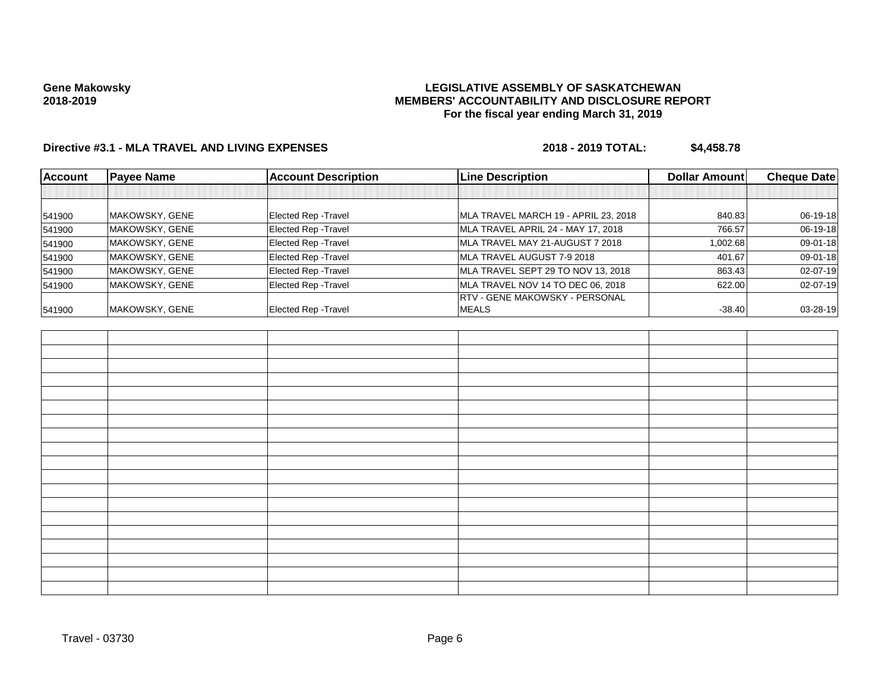# **LEGISLATIVE ASSEMBLY OF SASKATCHEWAN MEMBERS' ACCOUNTABILITY AND DISCLOSURE REPORT For the fiscal year ending March 31, 2019**

| Account | <b>Payee Name</b> | <b>Account Description</b> | <b>Line Description</b>                | Dollar Amount | <b>Cheque Date</b> |
|---------|-------------------|----------------------------|----------------------------------------|---------------|--------------------|
|         |                   |                            |                                        |               |                    |
| 541900  | MAKOWSKY, GENE    | Elected Rep - Travel       | MLA TRAVEL MARCH 19 - APRIL 23, 2018   | 840.83        | 06-19-18           |
| 541900  | MAKOWSKY, GENE    | Elected Rep - Travel       | MLA TRAVEL APRIL 24 - MAY 17, 2018     | 766.57        | $06-19-18$         |
| 541900  | MAKOWSKY, GENE    | Elected Rep - Travel       | MLA TRAVEL MAY 21-AUGUST 7 2018        | 1,002.68      | 09-01-18           |
| 541900  | MAKOWSKY, GENE    | Elected Rep - Travel       | MLA TRAVEL AUGUST 7-9 2018             | 401.67        | $09 - 01 - 18$     |
| 541900  | MAKOWSKY, GENE    | Elected Rep - Travel       | MLA TRAVEL SEPT 29 TO NOV 13, 2018     | 863.43        | $02 - 07 - 19$     |
| 541900  | MAKOWSKY, GENE    | Elected Rep - Travel       | MLA TRAVEL NOV 14 TO DEC 06, 2018      | 622.00        | $02 - 07 - 19$     |
|         |                   |                            | <b>IRTV - GENE MAKOWSKY - PERSONAL</b> |               |                    |
| 541900  | MAKOWSKY, GENE    | Elected Rep - Travel       | <b>IMEALS</b>                          | $-38.40$      | $03 - 28 - 19$     |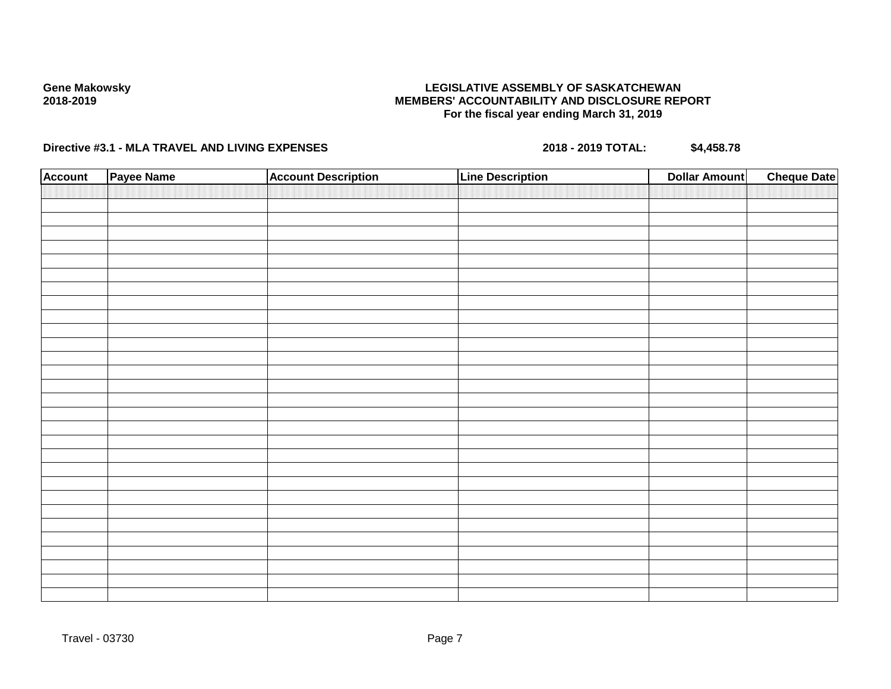# **LEGISLATIVE ASSEMBLY OF SASKATCHEWAN MEMBERS' ACCOUNTABILITY AND DISCLOSURE REPORT For the fiscal year ending March 31, 2019**

| <b>Account</b> | Payee Name | <b>Account Description</b> | <b>Line Description</b> | <b>Dollar Amount</b> | <b>Cheque Date</b> |
|----------------|------------|----------------------------|-------------------------|----------------------|--------------------|
|                |            |                            |                         |                      |                    |
|                |            |                            |                         |                      |                    |
|                |            |                            |                         |                      |                    |
|                |            |                            |                         |                      |                    |
|                |            |                            |                         |                      |                    |
|                |            |                            |                         |                      |                    |
|                |            |                            |                         |                      |                    |
|                |            |                            |                         |                      |                    |
|                |            |                            |                         |                      |                    |
|                |            |                            |                         |                      |                    |
|                |            |                            |                         |                      |                    |
|                |            |                            |                         |                      |                    |
|                |            |                            |                         |                      |                    |
|                |            |                            |                         |                      |                    |
|                |            |                            |                         |                      |                    |
|                |            |                            |                         |                      |                    |
|                |            |                            |                         |                      |                    |
|                |            |                            |                         |                      |                    |
|                |            |                            |                         |                      |                    |
|                |            |                            |                         |                      |                    |
|                |            |                            |                         |                      |                    |
|                |            |                            |                         |                      |                    |
|                |            |                            |                         |                      |                    |
|                |            |                            |                         |                      |                    |
|                |            |                            |                         |                      |                    |
|                |            |                            |                         |                      |                    |
|                |            |                            |                         |                      |                    |
|                |            |                            |                         |                      |                    |
|                |            |                            |                         |                      |                    |
|                |            |                            |                         |                      |                    |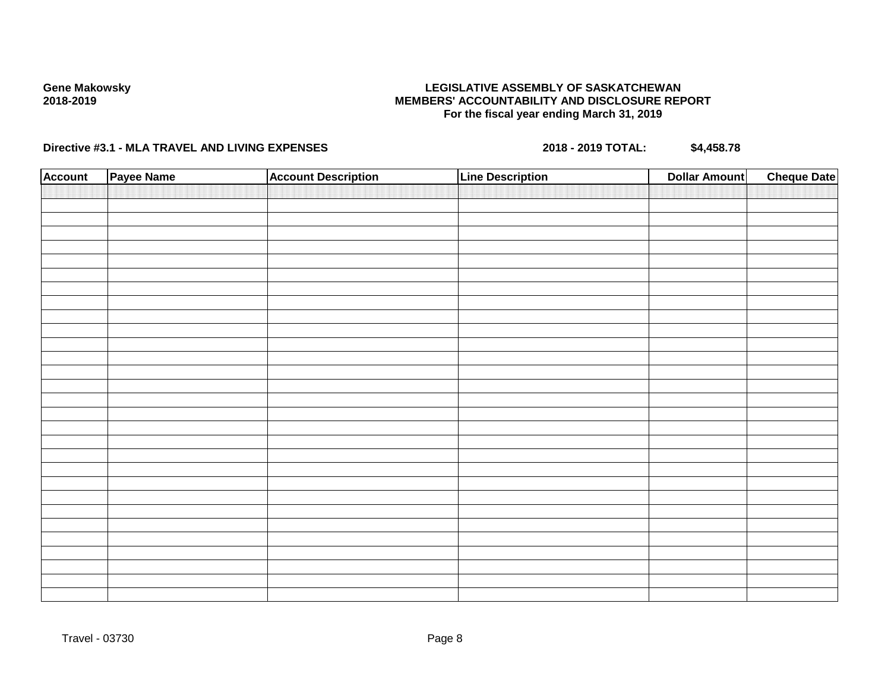# **LEGISLATIVE ASSEMBLY OF SASKATCHEWAN MEMBERS' ACCOUNTABILITY AND DISCLOSURE REPORT For the fiscal year ending March 31, 2019**

| <b>Account</b> | Payee Name | <b>Account Description</b> | <b>Line Description</b> | <b>Dollar Amount</b> | <b>Cheque Date</b> |
|----------------|------------|----------------------------|-------------------------|----------------------|--------------------|
|                |            |                            |                         |                      |                    |
|                |            |                            |                         |                      |                    |
|                |            |                            |                         |                      |                    |
|                |            |                            |                         |                      |                    |
|                |            |                            |                         |                      |                    |
|                |            |                            |                         |                      |                    |
|                |            |                            |                         |                      |                    |
|                |            |                            |                         |                      |                    |
|                |            |                            |                         |                      |                    |
|                |            |                            |                         |                      |                    |
|                |            |                            |                         |                      |                    |
|                |            |                            |                         |                      |                    |
|                |            |                            |                         |                      |                    |
|                |            |                            |                         |                      |                    |
|                |            |                            |                         |                      |                    |
|                |            |                            |                         |                      |                    |
|                |            |                            |                         |                      |                    |
|                |            |                            |                         |                      |                    |
|                |            |                            |                         |                      |                    |
|                |            |                            |                         |                      |                    |
|                |            |                            |                         |                      |                    |
|                |            |                            |                         |                      |                    |
|                |            |                            |                         |                      |                    |
|                |            |                            |                         |                      |                    |
|                |            |                            |                         |                      |                    |
|                |            |                            |                         |                      |                    |
|                |            |                            |                         |                      |                    |
|                |            |                            |                         |                      |                    |
|                |            |                            |                         |                      |                    |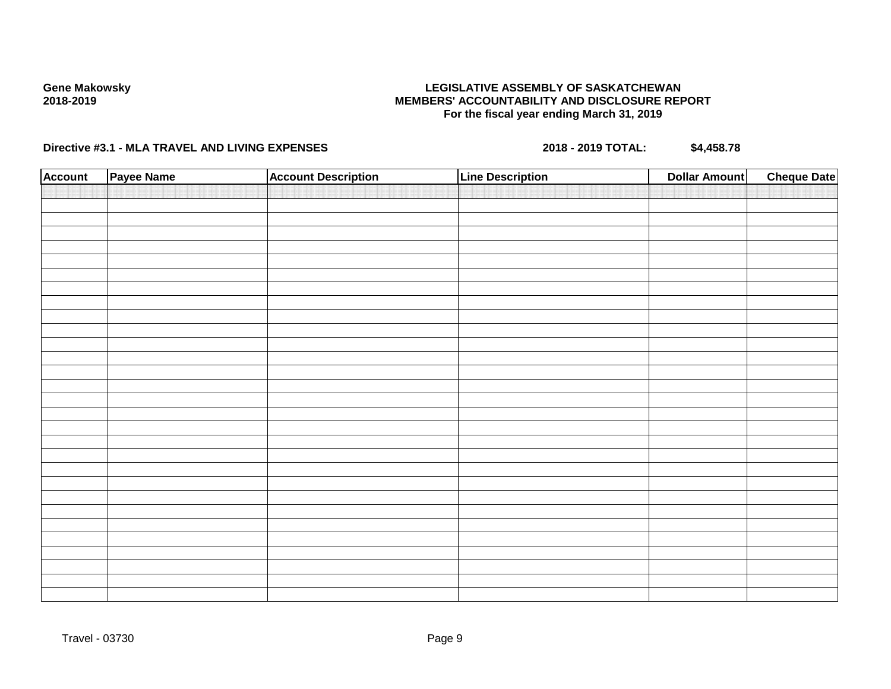# **LEGISLATIVE ASSEMBLY OF SASKATCHEWAN MEMBERS' ACCOUNTABILITY AND DISCLOSURE REPORT For the fiscal year ending March 31, 2019**

| <b>Account</b> | Payee Name | <b>Account Description</b> | <b>Line Description</b> | <b>Dollar Amount</b> | <b>Cheque Date</b> |
|----------------|------------|----------------------------|-------------------------|----------------------|--------------------|
|                |            |                            |                         |                      |                    |
|                |            |                            |                         |                      |                    |
|                |            |                            |                         |                      |                    |
|                |            |                            |                         |                      |                    |
|                |            |                            |                         |                      |                    |
|                |            |                            |                         |                      |                    |
|                |            |                            |                         |                      |                    |
|                |            |                            |                         |                      |                    |
|                |            |                            |                         |                      |                    |
|                |            |                            |                         |                      |                    |
|                |            |                            |                         |                      |                    |
|                |            |                            |                         |                      |                    |
|                |            |                            |                         |                      |                    |
|                |            |                            |                         |                      |                    |
|                |            |                            |                         |                      |                    |
|                |            |                            |                         |                      |                    |
|                |            |                            |                         |                      |                    |
|                |            |                            |                         |                      |                    |
|                |            |                            |                         |                      |                    |
|                |            |                            |                         |                      |                    |
|                |            |                            |                         |                      |                    |
|                |            |                            |                         |                      |                    |
|                |            |                            |                         |                      |                    |
|                |            |                            |                         |                      |                    |
|                |            |                            |                         |                      |                    |
|                |            |                            |                         |                      |                    |
|                |            |                            |                         |                      |                    |
|                |            |                            |                         |                      |                    |
|                |            |                            |                         |                      |                    |
|                |            |                            |                         |                      |                    |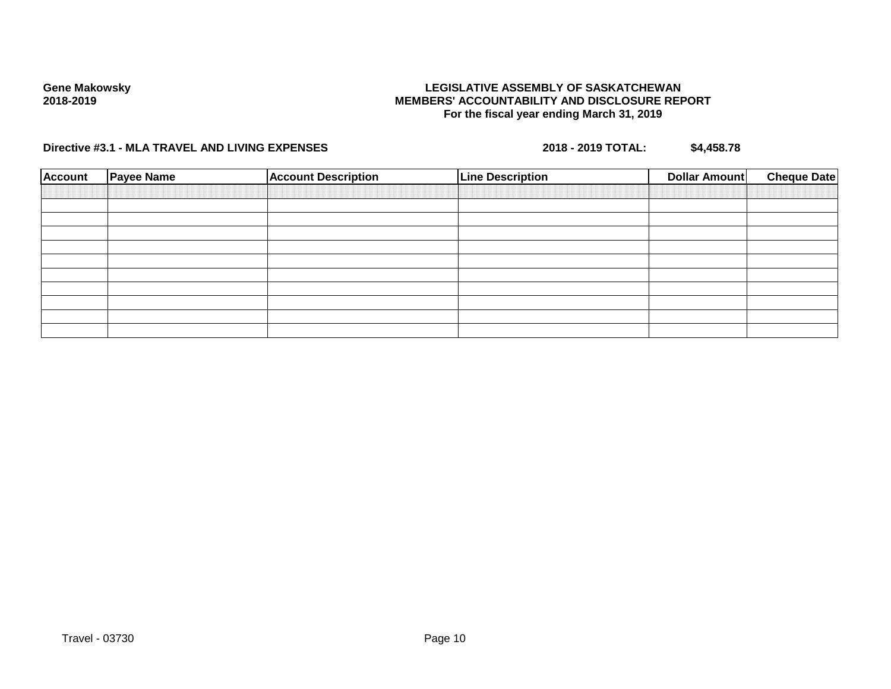# **LEGISLATIVE ASSEMBLY OF SASKATCHEWAN MEMBERS' ACCOUNTABILITY AND DISCLOSURE REPORT For the fiscal year ending March 31, 2019**

| <b>Account</b> | <b>Payee Name</b> | <b>Account Description</b> | <b>Line Description</b> | Dollar Amount | <b>Cheque Date</b> |
|----------------|-------------------|----------------------------|-------------------------|---------------|--------------------|
|                |                   |                            |                         |               |                    |
|                |                   |                            |                         |               |                    |
|                |                   |                            |                         |               |                    |
|                |                   |                            |                         |               |                    |
|                |                   |                            |                         |               |                    |
|                |                   |                            |                         |               |                    |
|                |                   |                            |                         |               |                    |
|                |                   |                            |                         |               |                    |
|                |                   |                            |                         |               |                    |
|                |                   |                            |                         |               |                    |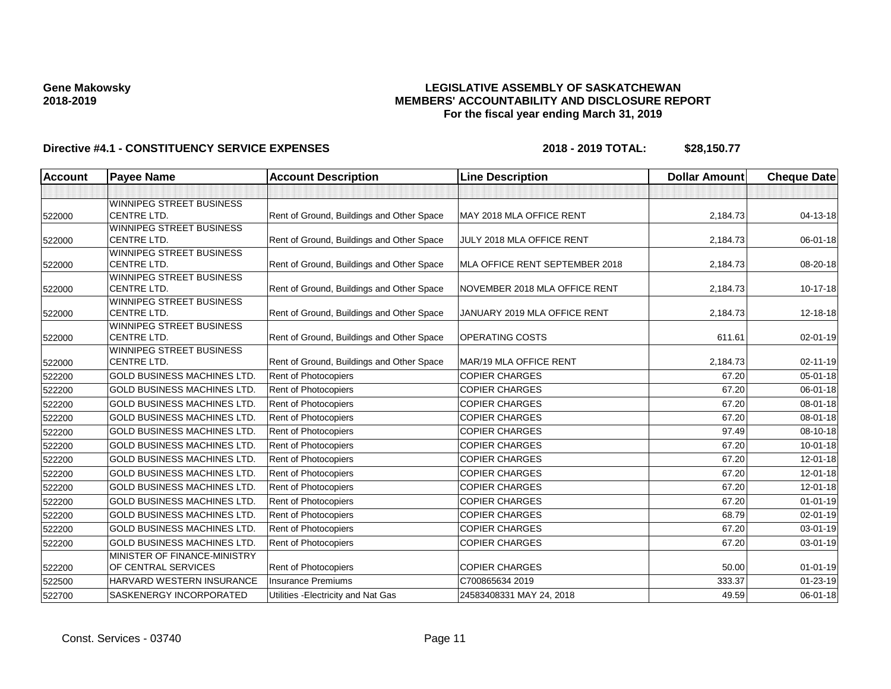# **LEGISLATIVE ASSEMBLY OF SASKATCHEWAN MEMBERS' ACCOUNTABILITY AND DISCLOSURE REPORT For the fiscal year ending March 31, 2019**

| <b>Account</b> | <b>Payee Name</b>                                     | <b>Account Description</b>                | <b>Line Description</b>        | <b>Dollar Amount</b> | <b>Cheque Date</b> |
|----------------|-------------------------------------------------------|-------------------------------------------|--------------------------------|----------------------|--------------------|
|                |                                                       |                                           |                                |                      |                    |
|                | <b>WINNIPEG STREET BUSINESS</b>                       |                                           |                                |                      |                    |
| 522000         | <b>CENTRE LTD.</b>                                    | Rent of Ground, Buildings and Other Space | MAY 2018 MLA OFFICE RENT       | 2,184.73             | 04-13-18           |
|                | <b>WINNIPEG STREET BUSINESS</b>                       |                                           |                                |                      |                    |
| 522000         | <b>CENTRE LTD.</b>                                    | Rent of Ground, Buildings and Other Space | JULY 2018 MLA OFFICE RENT      | 2,184.73             | 06-01-18           |
|                | <b>WINNIPEG STREET BUSINESS</b>                       |                                           |                                |                      |                    |
| 522000         | <b>CENTRE LTD.</b>                                    | Rent of Ground, Buildings and Other Space | MLA OFFICE RENT SEPTEMBER 2018 | 2,184.73             | 08-20-18           |
|                | <b>WINNIPEG STREET BUSINESS</b><br><b>CENTRE LTD.</b> |                                           | NOVEMBER 2018 MLA OFFICE RENT  | 2,184.73             | $10-17-18$         |
| 522000         | <b>WINNIPEG STREET BUSINESS</b>                       | Rent of Ground, Buildings and Other Space |                                |                      |                    |
| 522000         | <b>CENTRE LTD.</b>                                    | Rent of Ground, Buildings and Other Space | JANUARY 2019 MLA OFFICE RENT   | 2,184.73             | 12-18-18           |
|                | WINNIPEG STREET BUSINESS                              |                                           |                                |                      |                    |
| 522000         | <b>CENTRE LTD.</b>                                    | Rent of Ground, Buildings and Other Space | <b>OPERATING COSTS</b>         | 611.61               | 02-01-19           |
|                | <b>WINNIPEG STREET BUSINESS</b>                       |                                           |                                |                      |                    |
| 522000         | <b>CENTRE LTD.</b>                                    | Rent of Ground, Buildings and Other Space | MAR/19 MLA OFFICE RENT         | 2,184.73             | 02-11-19           |
| 522200         | <b>GOLD BUSINESS MACHINES LTD.</b>                    | Rent of Photocopiers                      | <b>COPIER CHARGES</b>          | 67.20                | 05-01-18           |
| 522200         | <b>GOLD BUSINESS MACHINES LTD.</b>                    | Rent of Photocopiers                      | <b>COPIER CHARGES</b>          | 67.20                | 06-01-18           |
| 522200         | <b>GOLD BUSINESS MACHINES LTD.</b>                    | Rent of Photocopiers                      | <b>COPIER CHARGES</b>          | 67.20                | 08-01-18           |
| 522200         | <b>GOLD BUSINESS MACHINES LTD.</b>                    | Rent of Photocopiers                      | <b>COPIER CHARGES</b>          | 67.20                | 08-01-18           |
| 522200         | <b>GOLD BUSINESS MACHINES LTD.</b>                    | Rent of Photocopiers                      | <b>COPIER CHARGES</b>          | 97.49                | 08-10-18           |
| 522200         | <b>GOLD BUSINESS MACHINES LTD.</b>                    | Rent of Photocopiers                      | <b>COPIER CHARGES</b>          | 67.20                | $10 - 01 - 18$     |
| 522200         | <b>GOLD BUSINESS MACHINES LTD.</b>                    | Rent of Photocopiers                      | <b>COPIER CHARGES</b>          | 67.20                | 12-01-18           |
| 522200         | <b>GOLD BUSINESS MACHINES LTD.</b>                    | <b>Rent of Photocopiers</b>               | <b>COPIER CHARGES</b>          | 67.20                | 12-01-18           |
| 522200         | <b>GOLD BUSINESS MACHINES LTD.</b>                    | <b>Rent of Photocopiers</b>               | <b>COPIER CHARGES</b>          | 67.20                | $12 - 01 - 18$     |
| 522200         | <b>GOLD BUSINESS MACHINES LTD.</b>                    | Rent of Photocopiers                      | <b>COPIER CHARGES</b>          | 67.20                | $01 - 01 - 19$     |
| 522200         | <b>GOLD BUSINESS MACHINES LTD.</b>                    | Rent of Photocopiers                      | <b>COPIER CHARGES</b>          | 68.79                | $02 - 01 - 19$     |
| 522200         | <b>GOLD BUSINESS MACHINES LTD.</b>                    | Rent of Photocopiers                      | <b>COPIER CHARGES</b>          | 67.20                | 03-01-19           |
| 522200         | <b>GOLD BUSINESS MACHINES LTD.</b>                    | <b>Rent of Photocopiers</b>               | <b>COPIER CHARGES</b>          | 67.20                | 03-01-19           |
|                | MINISTER OF FINANCE-MINISTRY                          |                                           |                                |                      |                    |
| 522200         | OF CENTRAL SERVICES                                   | <b>Rent of Photocopiers</b>               | <b>COPIER CHARGES</b>          | 50.00                | $01 - 01 - 19$     |
| 522500         | HARVARD WESTERN INSURANCE                             | <b>Insurance Premiums</b>                 | C700865634 2019                | 333.37               | $01 - 23 - 19$     |
| 522700         | <b>SASKENERGY INCORPORATED</b>                        | Utilities - Electricity and Nat Gas       | 24583408331 MAY 24, 2018       | 49.59                | 06-01-18           |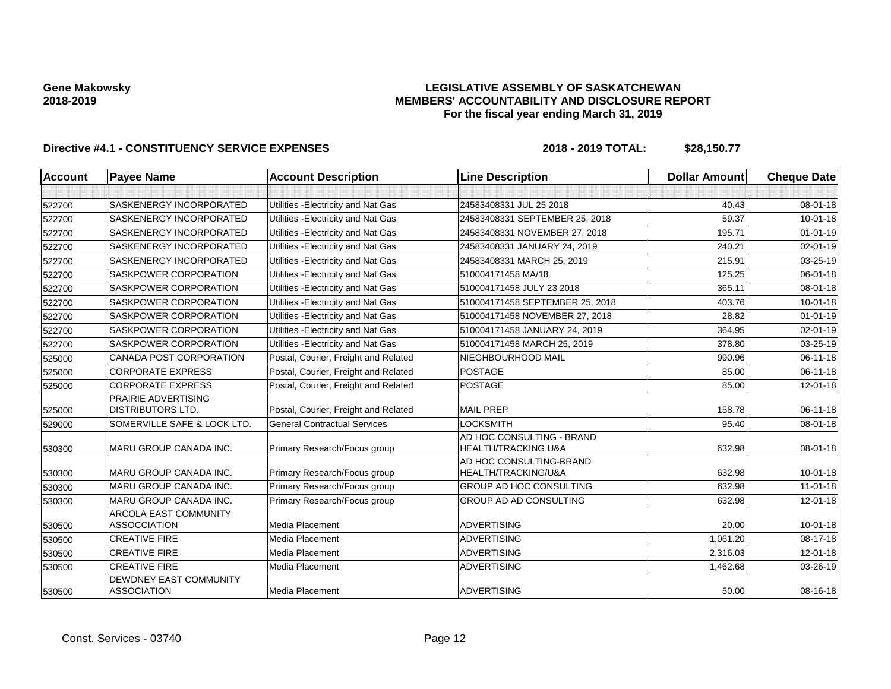# **LEGISLATIVE ASSEMBLY OF SASKATCHEWAN MEMBERS' ACCOUNTABILITY AND DISCLOSURE REPORT For the fiscal year ending March 31, 2019**

| <b>Account</b> | <b>Payee Name</b>                                   | <b>Account Description</b>           | <b>Line Description</b>         | <b>Dollar Amount</b> | <b>Cheque Date</b> |
|----------------|-----------------------------------------------------|--------------------------------------|---------------------------------|----------------------|--------------------|
|                |                                                     |                                      |                                 |                      |                    |
| 522700         | <b>SASKENERGY INCORPORATED</b>                      | Utilities - Electricity and Nat Gas  | 24583408331 JUL 25 2018         | 40.43                | $08 - 01 - 18$     |
| 522700         | <b>SASKENERGY INCORPORATED</b>                      | Utilities - Electricity and Nat Gas  | 24583408331 SEPTEMBER 25, 2018  | 59.37                | $10 - 01 - 18$     |
| 522700         | SASKENERGY INCORPORATED                             | Utilities - Electricity and Nat Gas  | 24583408331 NOVEMBER 27, 2018   | 195.71               | $01 - 01 - 19$     |
| 522700         | SASKENERGY INCORPORATED                             | Utilities - Electricity and Nat Gas  | 24583408331 JANUARY 24, 2019    | 240.21               | 02-01-19           |
| 522700         | SASKENERGY INCORPORATED                             | Utilities - Electricity and Nat Gas  | 24583408331 MARCH 25, 2019      | 215.91               | 03-25-19           |
| 522700         | <b>SASKPOWER CORPORATION</b>                        | Utilities - Electricity and Nat Gas  | 510004171458 MA/18              | 125.25               | 06-01-18           |
| 522700         | <b>SASKPOWER CORPORATION</b>                        | Utilities - Electricity and Nat Gas  | 510004171458 JULY 23 2018       | 365.11               | $08 - 01 - 18$     |
| 522700         | <b>SASKPOWER CORPORATION</b>                        | Utilities - Electricity and Nat Gas  | 510004171458 SEPTEMBER 25, 2018 | 403.76               | $10 - 01 - 18$     |
| 522700         | SASKPOWER CORPORATION                               | Utilities - Electricity and Nat Gas  | 510004171458 NOVEMBER 27, 2018  | 28.82                | $01 - 01 - 19$     |
| 522700         | <b>SASKPOWER CORPORATION</b>                        | Utilities - Electricity and Nat Gas  | 510004171458 JANUARY 24, 2019   | 364.95               | 02-01-19           |
| 522700         | <b>SASKPOWER CORPORATION</b>                        | Utilities - Electricity and Nat Gas  | 510004171458 MARCH 25, 2019     | 378.80               | 03-25-19           |
| 525000         | CANADA POST CORPORATION                             | Postal, Courier, Freight and Related | NIEGHBOURHOOD MAIL              | 990.96               | 06-11-18           |
| 525000         | <b>CORPORATE EXPRESS</b>                            | Postal, Courier, Freight and Related | POSTAGE                         | 85.00                | $06 - 11 - 18$     |
| 525000         | <b>CORPORATE EXPRESS</b>                            | Postal, Courier, Freight and Related | <b>POSTAGE</b>                  | 85.00                | 12-01-18           |
|                | PRAIRIE ADVERTISING                                 |                                      |                                 |                      |                    |
| 525000         | <b>DISTRIBUTORS LTD.</b>                            | Postal, Courier, Freight and Related | <b>MAIL PREP</b>                | 158.78               | 06-11-18           |
| 529000         | SOMERVILLE SAFE & LOCK LTD.                         | <b>General Contractual Services</b>  | <b>LOCKSMITH</b>                | 95.40                | $08 - 01 - 18$     |
|                |                                                     |                                      | AD HOC CONSULTING - BRAND       |                      |                    |
| 530300         | <b>MARU GROUP CANADA INC.</b>                       | Primary Research/Focus group         | <b>HEALTH/TRACKING U&amp;A</b>  | 632.98               | 08-01-18           |
|                |                                                     |                                      | AD HOC CONSULTING-BRAND         |                      |                    |
| 530300         | MARU GROUP CANADA INC.                              | Primary Research/Focus group         | HEALTH/TRACKING/U&A             | 632.98               | $10 - 01 - 18$     |
| 530300         | MARU GROUP CANADA INC.                              | Primary Research/Focus group         | <b>GROUP AD HOC CONSULTING</b>  | 632.98               | $11-01-18$         |
| 530300         | MARU GROUP CANADA INC.                              | Primary Research/Focus group         | GROUP AD AD CONSULTING          | 632.98               | 12-01-18           |
|                | <b>ARCOLA EAST COMMUNITY</b>                        |                                      |                                 |                      |                    |
| 530500         | <b>ASSOCCIATION</b>                                 | Media Placement                      | <b>ADVERTISING</b>              | 20.00                | $10 - 01 - 18$     |
| 530500         | <b>CREATIVE FIRE</b>                                | Media Placement                      | <b>ADVERTISING</b>              | 1,061.20             | 08-17-18           |
| 530500         | <b>CREATIVE FIRE</b>                                | Media Placement                      | <b>ADVERTISING</b>              | 2,316.03             | $12 - 01 - 18$     |
| 530500         | <b>CREATIVE FIRE</b>                                | Media Placement                      | <b>ADVERTISING</b>              | 1,462.68             | 03-26-19           |
| 530500         | <b>DEWDNEY EAST COMMUNITY</b><br><b>ASSOCIATION</b> | Media Placement                      | <b>ADVERTISING</b>              | 50.00                | 08-16-18           |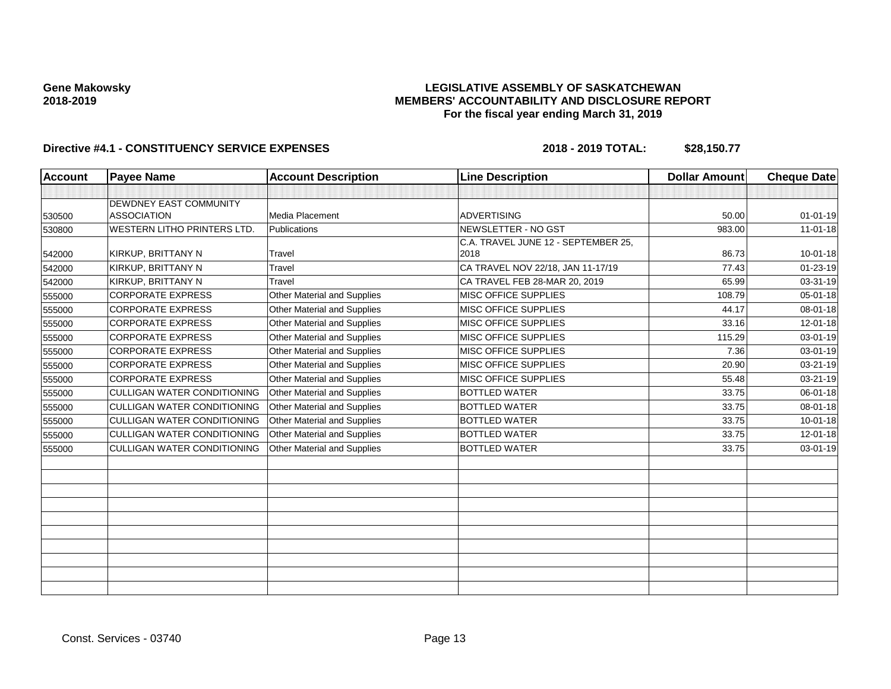# **LEGISLATIVE ASSEMBLY OF SASKATCHEWAN MEMBERS' ACCOUNTABILITY AND DISCLOSURE REPORT For the fiscal year ending March 31, 2019**

| <b>Account</b> | <b>Payee Name</b>                  | <b>Account Description</b>         | <b>Line Description</b>             | <b>Dollar Amount</b> | <b>Cheque Date</b> |
|----------------|------------------------------------|------------------------------------|-------------------------------------|----------------------|--------------------|
|                |                                    |                                    |                                     |                      |                    |
|                | <b>DEWDNEY EAST COMMUNITY</b>      |                                    |                                     |                      |                    |
| 530500         | <b>ASSOCIATION</b>                 | Media Placement                    | <b>ADVERTISING</b>                  | 50.00                | $01 - 01 - 19$     |
| 530800         | <b>WESTERN LITHO PRINTERS LTD.</b> | Publications                       | NEWSLETTER - NO GST                 | 983.00               | $11 - 01 - 18$     |
|                |                                    |                                    | C.A. TRAVEL JUNE 12 - SEPTEMBER 25, |                      |                    |
| 542000         | KIRKUP, BRITTANY N                 | Travel                             | 2018                                | 86.73                | $10 - 01 - 18$     |
| 542000         | KIRKUP, BRITTANY N                 | Travel                             | CA TRAVEL NOV 22/18, JAN 11-17/19   | 77.43                | 01-23-19           |
| 542000         | KIRKUP, BRITTANY N                 | Travel                             | CA TRAVEL FEB 28-MAR 20, 2019       | 65.99                | 03-31-19           |
| 555000         | <b>CORPORATE EXPRESS</b>           | Other Material and Supplies        | <b>MISC OFFICE SUPPLIES</b>         | 108.79               | $05 - 01 - 18$     |
| 555000         | <b>CORPORATE EXPRESS</b>           | <b>Other Material and Supplies</b> | MISC OFFICE SUPPLIES                | 44.17                | 08-01-18           |
| 555000         | <b>CORPORATE EXPRESS</b>           | Other Material and Supplies        | MISC OFFICE SUPPLIES                | 33.16                | 12-01-18           |
| 555000         | <b>CORPORATE EXPRESS</b>           | Other Material and Supplies        | MISC OFFICE SUPPLIES                | 115.29               | 03-01-19           |
| 555000         | <b>CORPORATE EXPRESS</b>           | Other Material and Supplies        | MISC OFFICE SUPPLIES                | 7.36                 | 03-01-19           |
| 555000         | <b>CORPORATE EXPRESS</b>           | Other Material and Supplies        | <b>MISC OFFICE SUPPLIES</b>         | 20.90                | 03-21-19           |
| 555000         | <b>CORPORATE EXPRESS</b>           | Other Material and Supplies        | <b>MISC OFFICE SUPPLIES</b>         | 55.48                | 03-21-19           |
| 555000         | <b>CULLIGAN WATER CONDITIONING</b> | Other Material and Supplies        | <b>BOTTLED WATER</b>                | 33.75                | 06-01-18           |
| 555000         | <b>CULLIGAN WATER CONDITIONING</b> | Other Material and Supplies        | <b>BOTTLED WATER</b>                | 33.75                | $08 - 01 - 18$     |
| 555000         | <b>CULLIGAN WATER CONDITIONING</b> | Other Material and Supplies        | <b>BOTTLED WATER</b>                | 33.75                | $10 - 01 - 18$     |
| 555000         | <b>CULLIGAN WATER CONDITIONING</b> | Other Material and Supplies        | <b>BOTTLED WATER</b>                | 33.75                | $12 - 01 - 18$     |
| 555000         | <b>CULLIGAN WATER CONDITIONING</b> | Other Material and Supplies        | <b>BOTTLED WATER</b>                | 33.75                | 03-01-19           |
|                |                                    |                                    |                                     |                      |                    |
|                |                                    |                                    |                                     |                      |                    |
|                |                                    |                                    |                                     |                      |                    |
|                |                                    |                                    |                                     |                      |                    |
|                |                                    |                                    |                                     |                      |                    |
|                |                                    |                                    |                                     |                      |                    |
|                |                                    |                                    |                                     |                      |                    |
|                |                                    |                                    |                                     |                      |                    |
|                |                                    |                                    |                                     |                      |                    |
|                |                                    |                                    |                                     |                      |                    |
|                |                                    |                                    |                                     |                      |                    |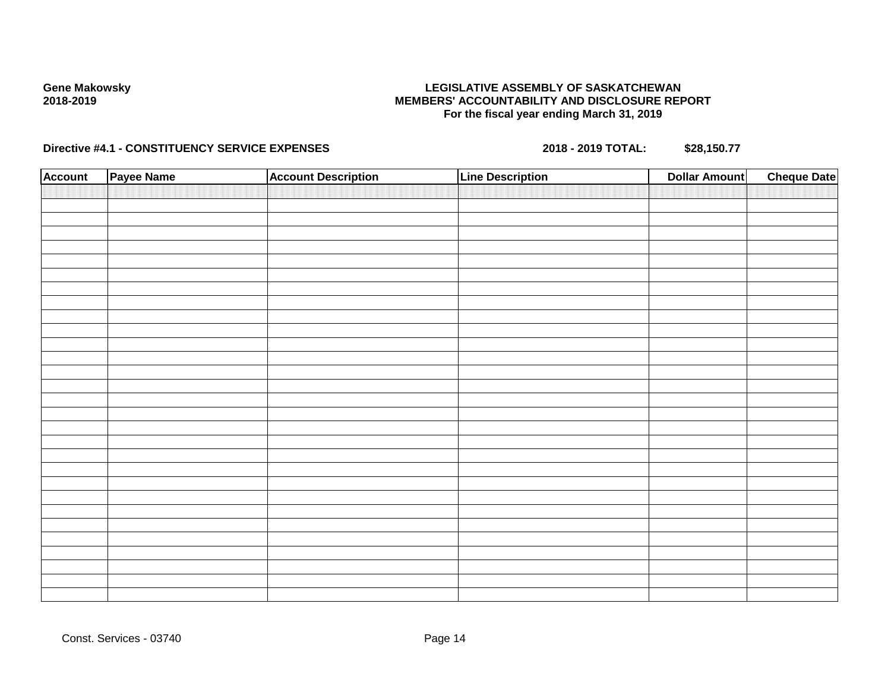# **LEGISLATIVE ASSEMBLY OF SASKATCHEWAN MEMBERS' ACCOUNTABILITY AND DISCLOSURE REPORT For the fiscal year ending March 31, 2019**

| <b>Account</b> | Payee Name | <b>Account Description</b> | Line Description | <b>Dollar Amount</b> | <b>Cheque Date</b> |
|----------------|------------|----------------------------|------------------|----------------------|--------------------|
|                |            |                            |                  |                      |                    |
|                |            |                            |                  |                      |                    |
|                |            |                            |                  |                      |                    |
|                |            |                            |                  |                      |                    |
|                |            |                            |                  |                      |                    |
|                |            |                            |                  |                      |                    |
|                |            |                            |                  |                      |                    |
|                |            |                            |                  |                      |                    |
|                |            |                            |                  |                      |                    |
|                |            |                            |                  |                      |                    |
|                |            |                            |                  |                      |                    |
|                |            |                            |                  |                      |                    |
|                |            |                            |                  |                      |                    |
|                |            |                            |                  |                      |                    |
|                |            |                            |                  |                      |                    |
|                |            |                            |                  |                      |                    |
|                |            |                            |                  |                      |                    |
|                |            |                            |                  |                      |                    |
|                |            |                            |                  |                      |                    |
|                |            |                            |                  |                      |                    |
|                |            |                            |                  |                      |                    |
|                |            |                            |                  |                      |                    |
|                |            |                            |                  |                      |                    |
|                |            |                            |                  |                      |                    |
|                |            |                            |                  |                      |                    |
|                |            |                            |                  |                      |                    |
|                |            |                            |                  |                      |                    |
|                |            |                            |                  |                      |                    |
|                |            |                            |                  |                      |                    |
|                |            |                            |                  |                      |                    |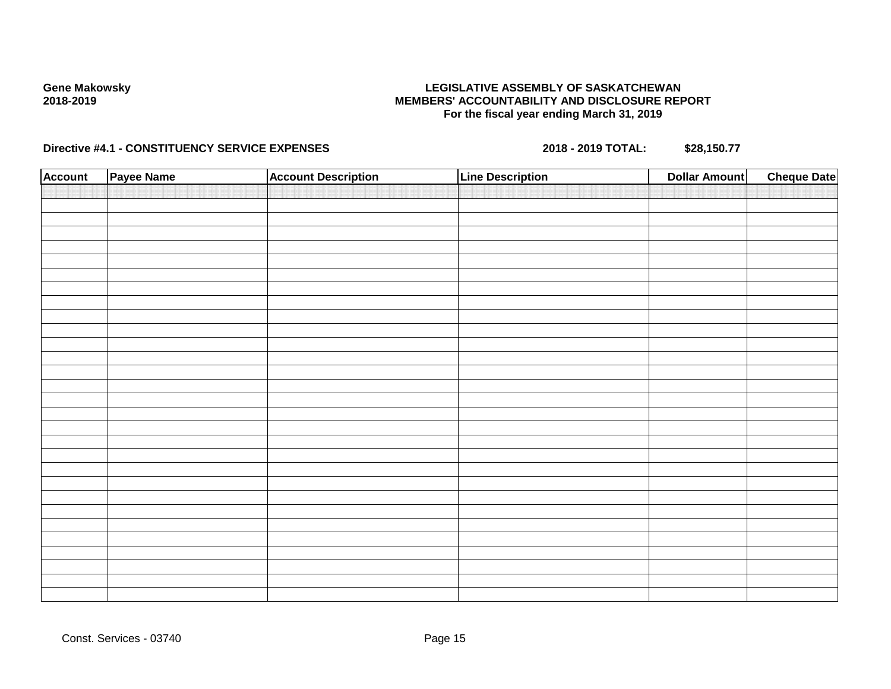# **LEGISLATIVE ASSEMBLY OF SASKATCHEWAN MEMBERS' ACCOUNTABILITY AND DISCLOSURE REPORT For the fiscal year ending March 31, 2019**

| <b>Account</b> | Payee Name | <b>Account Description</b> | Line Description | <b>Dollar Amount</b> | <b>Cheque Date</b> |
|----------------|------------|----------------------------|------------------|----------------------|--------------------|
|                |            |                            |                  |                      |                    |
|                |            |                            |                  |                      |                    |
|                |            |                            |                  |                      |                    |
|                |            |                            |                  |                      |                    |
|                |            |                            |                  |                      |                    |
|                |            |                            |                  |                      |                    |
|                |            |                            |                  |                      |                    |
|                |            |                            |                  |                      |                    |
|                |            |                            |                  |                      |                    |
|                |            |                            |                  |                      |                    |
|                |            |                            |                  |                      |                    |
|                |            |                            |                  |                      |                    |
|                |            |                            |                  |                      |                    |
|                |            |                            |                  |                      |                    |
|                |            |                            |                  |                      |                    |
|                |            |                            |                  |                      |                    |
|                |            |                            |                  |                      |                    |
|                |            |                            |                  |                      |                    |
|                |            |                            |                  |                      |                    |
|                |            |                            |                  |                      |                    |
|                |            |                            |                  |                      |                    |
|                |            |                            |                  |                      |                    |
|                |            |                            |                  |                      |                    |
|                |            |                            |                  |                      |                    |
|                |            |                            |                  |                      |                    |
|                |            |                            |                  |                      |                    |
|                |            |                            |                  |                      |                    |
|                |            |                            |                  |                      |                    |
|                |            |                            |                  |                      |                    |
|                |            |                            |                  |                      |                    |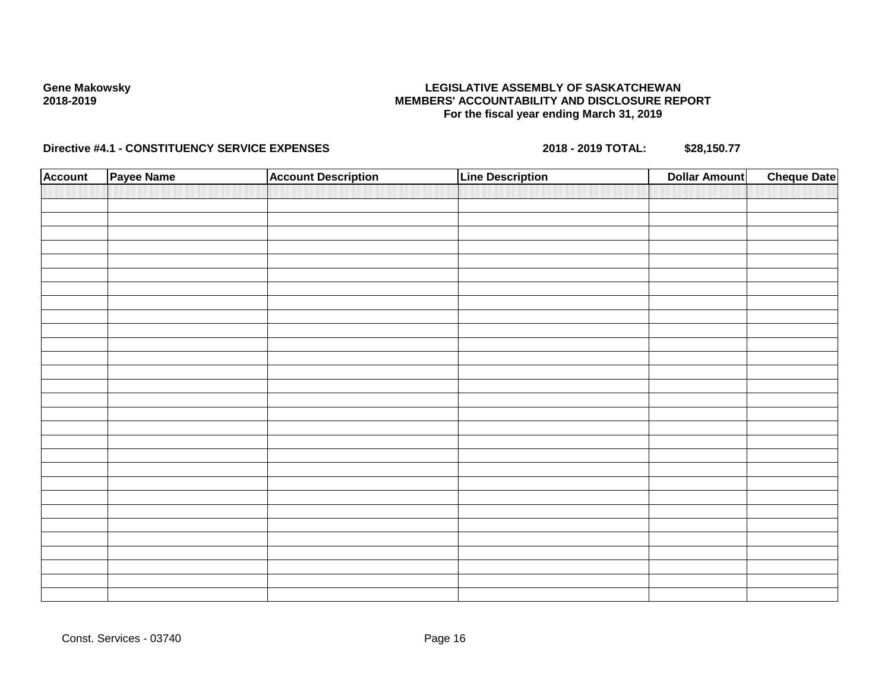# **LEGISLATIVE ASSEMBLY OF SASKATCHEWAN MEMBERS' ACCOUNTABILITY AND DISCLOSURE REPORT For the fiscal year ending March 31, 2019**

| <b>Account</b> | Payee Name | <b>Account Description</b> | Line Description | <b>Dollar Amount</b> | <b>Cheque Date</b> |
|----------------|------------|----------------------------|------------------|----------------------|--------------------|
|                |            |                            |                  |                      |                    |
|                |            |                            |                  |                      |                    |
|                |            |                            |                  |                      |                    |
|                |            |                            |                  |                      |                    |
|                |            |                            |                  |                      |                    |
|                |            |                            |                  |                      |                    |
|                |            |                            |                  |                      |                    |
|                |            |                            |                  |                      |                    |
|                |            |                            |                  |                      |                    |
|                |            |                            |                  |                      |                    |
|                |            |                            |                  |                      |                    |
|                |            |                            |                  |                      |                    |
|                |            |                            |                  |                      |                    |
|                |            |                            |                  |                      |                    |
|                |            |                            |                  |                      |                    |
|                |            |                            |                  |                      |                    |
|                |            |                            |                  |                      |                    |
|                |            |                            |                  |                      |                    |
|                |            |                            |                  |                      |                    |
|                |            |                            |                  |                      |                    |
|                |            |                            |                  |                      |                    |
|                |            |                            |                  |                      |                    |
|                |            |                            |                  |                      |                    |
|                |            |                            |                  |                      |                    |
|                |            |                            |                  |                      |                    |
|                |            |                            |                  |                      |                    |
|                |            |                            |                  |                      |                    |
|                |            |                            |                  |                      |                    |
|                |            |                            |                  |                      |                    |
|                |            |                            |                  |                      |                    |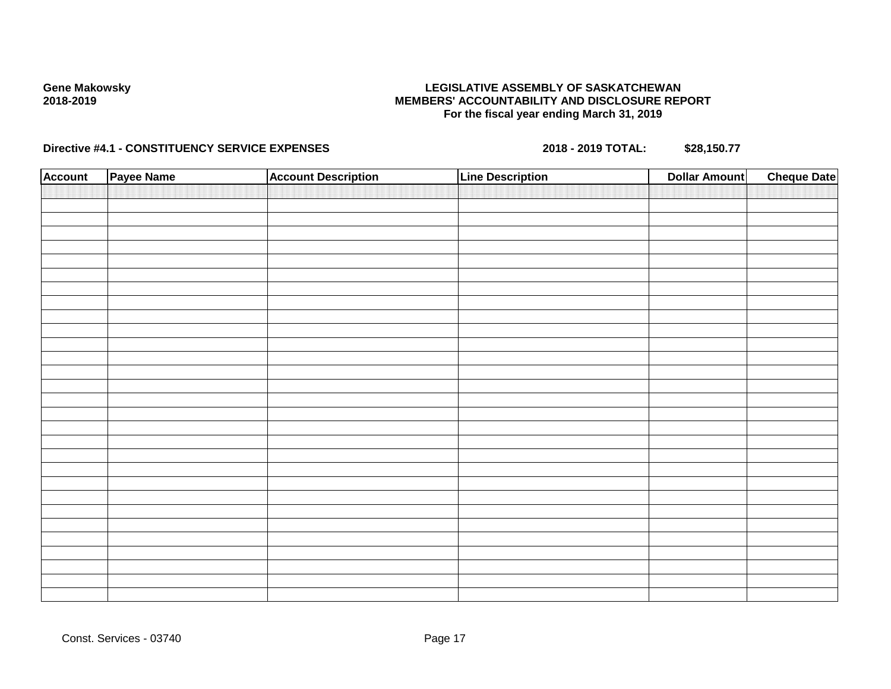# **LEGISLATIVE ASSEMBLY OF SASKATCHEWAN MEMBERS' ACCOUNTABILITY AND DISCLOSURE REPORT For the fiscal year ending March 31, 2019**

| <b>Account</b> | Payee Name | <b>Account Description</b> | Line Description | <b>Dollar Amount</b> | <b>Cheque Date</b> |
|----------------|------------|----------------------------|------------------|----------------------|--------------------|
|                |            |                            |                  |                      |                    |
|                |            |                            |                  |                      |                    |
|                |            |                            |                  |                      |                    |
|                |            |                            |                  |                      |                    |
|                |            |                            |                  |                      |                    |
|                |            |                            |                  |                      |                    |
|                |            |                            |                  |                      |                    |
|                |            |                            |                  |                      |                    |
|                |            |                            |                  |                      |                    |
|                |            |                            |                  |                      |                    |
|                |            |                            |                  |                      |                    |
|                |            |                            |                  |                      |                    |
|                |            |                            |                  |                      |                    |
|                |            |                            |                  |                      |                    |
|                |            |                            |                  |                      |                    |
|                |            |                            |                  |                      |                    |
|                |            |                            |                  |                      |                    |
|                |            |                            |                  |                      |                    |
|                |            |                            |                  |                      |                    |
|                |            |                            |                  |                      |                    |
|                |            |                            |                  |                      |                    |
|                |            |                            |                  |                      |                    |
|                |            |                            |                  |                      |                    |
|                |            |                            |                  |                      |                    |
|                |            |                            |                  |                      |                    |
|                |            |                            |                  |                      |                    |
|                |            |                            |                  |                      |                    |
|                |            |                            |                  |                      |                    |
|                |            |                            |                  |                      |                    |
|                |            |                            |                  |                      |                    |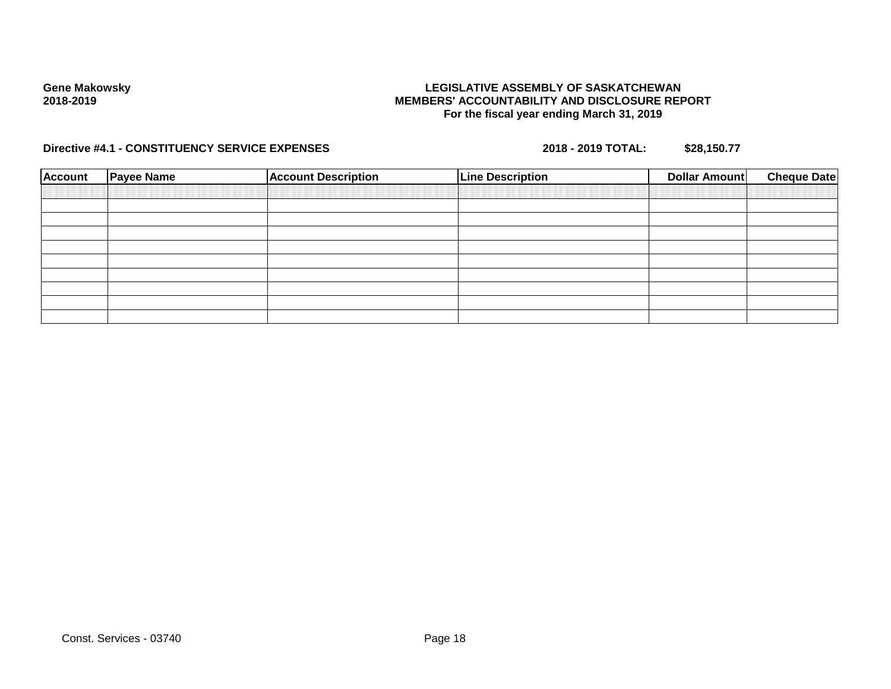# **LEGISLATIVE ASSEMBLY OF SASKATCHEWAN MEMBERS' ACCOUNTABILITY AND DISCLOSURE REPORT For the fiscal year ending March 31, 2019**

| <b>Account</b> | <b>Payee Name</b> | <b>Account Description</b> | <b>Line Description</b> | <b>Cheque Date</b><br><b>Dollar Amount</b> |
|----------------|-------------------|----------------------------|-------------------------|--------------------------------------------|
|                |                   |                            |                         |                                            |
|                |                   |                            |                         |                                            |
|                |                   |                            |                         |                                            |
|                |                   |                            |                         |                                            |
|                |                   |                            |                         |                                            |
|                |                   |                            |                         |                                            |
|                |                   |                            |                         |                                            |
|                |                   |                            |                         |                                            |
|                |                   |                            |                         |                                            |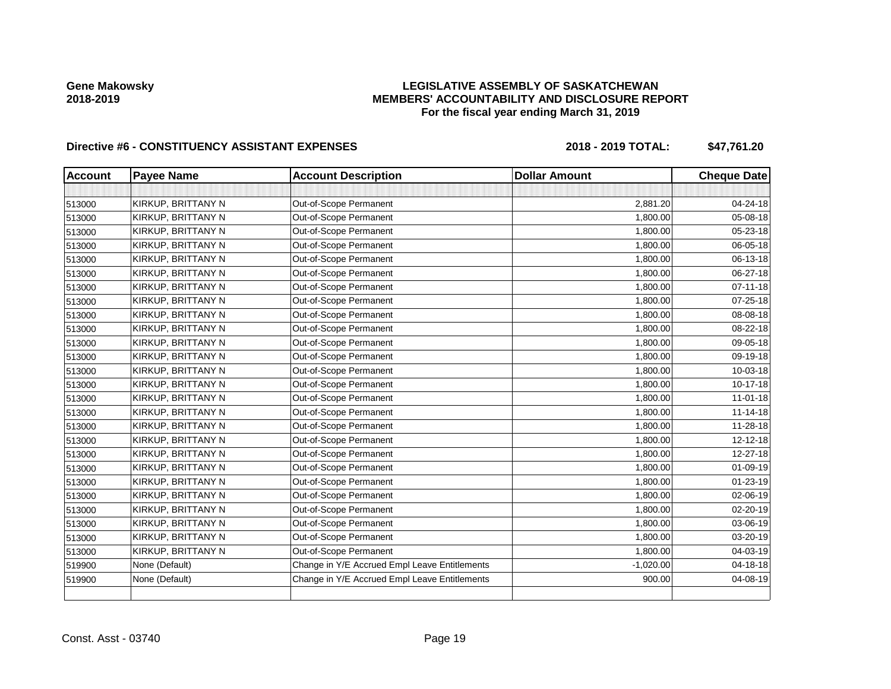# **LEGISLATIVE ASSEMBLY OF SASKATCHEWAN MEMBERS' ACCOUNTABILITY AND DISCLOSURE REPORT For the fiscal year ending March 31, 2019**

| <b>Account</b> | <b>Payee Name</b>  | <b>Account Description</b>                    | <b>Dollar Amount</b> | <b>Cheque Date</b> |
|----------------|--------------------|-----------------------------------------------|----------------------|--------------------|
|                |                    |                                               |                      |                    |
| 513000         | KIRKUP, BRITTANY N | Out-of-Scope Permanent                        | 2,881.20             | 04-24-18           |
| 513000         | KIRKUP, BRITTANY N | Out-of-Scope Permanent                        | 1,800.00             | 05-08-18           |
| 513000         | KIRKUP, BRITTANY N | Out-of-Scope Permanent                        | 1,800.00             | 05-23-18           |
| 513000         | KIRKUP, BRITTANY N | Out-of-Scope Permanent                        | 1,800.00             | 06-05-18           |
| 513000         | KIRKUP, BRITTANY N | Out-of-Scope Permanent                        | 1,800.00             | 06-13-18           |
| 513000         | KIRKUP, BRITTANY N | Out-of-Scope Permanent                        | 1,800.00             | 06-27-18           |
| 513000         | KIRKUP, BRITTANY N | Out-of-Scope Permanent                        | 1,800.00             | $07 - 11 - 18$     |
| 513000         | KIRKUP, BRITTANY N | Out-of-Scope Permanent                        | 1,800.00             | 07-25-18           |
| 513000         | KIRKUP, BRITTANY N | Out-of-Scope Permanent                        | 1,800.00             | 08-08-18           |
| 513000         | KIRKUP, BRITTANY N | Out-of-Scope Permanent                        | 1,800.00             | 08-22-18           |
| 513000         | KIRKUP, BRITTANY N | Out-of-Scope Permanent                        | 1,800.00             | 09-05-18           |
| 513000         | KIRKUP, BRITTANY N | Out-of-Scope Permanent                        | 1,800.00             | 09-19-18           |
| 513000         | KIRKUP, BRITTANY N | Out-of-Scope Permanent                        | 1,800.00             | 10-03-18           |
| 513000         | KIRKUP, BRITTANY N | Out-of-Scope Permanent                        | 1,800.00             | 10-17-18           |
| 513000         | KIRKUP, BRITTANY N | Out-of-Scope Permanent                        | 1,800.00             | $11 - 01 - 18$     |
| 513000         | KIRKUP, BRITTANY N | Out-of-Scope Permanent                        | 1,800.00             | $11 - 14 - 18$     |
| 513000         | KIRKUP, BRITTANY N | Out-of-Scope Permanent                        | 1,800.00             | 11-28-18           |
| 513000         | KIRKUP, BRITTANY N | Out-of-Scope Permanent                        | 1,800.00             | $12 - 12 - 18$     |
| 513000         | KIRKUP, BRITTANY N | Out-of-Scope Permanent                        | 1,800.00             | 12-27-18           |
| 513000         | KIRKUP, BRITTANY N | Out-of-Scope Permanent                        | 1,800.00             | 01-09-19           |
| 513000         | KIRKUP, BRITTANY N | Out-of-Scope Permanent                        | 1,800.00             | $01 - 23 - 19$     |
| 513000         | KIRKUP, BRITTANY N | Out-of-Scope Permanent                        | 1,800.00             | 02-06-19           |
| 513000         | KIRKUP, BRITTANY N | Out-of-Scope Permanent                        | 1,800.00             | $02 - 20 - 19$     |
| 513000         | KIRKUP, BRITTANY N | Out-of-Scope Permanent                        | 1,800.00             | 03-06-19           |
| 513000         | KIRKUP, BRITTANY N | Out-of-Scope Permanent                        | 1,800.00             | 03-20-19           |
| 513000         | KIRKUP, BRITTANY N | Out-of-Scope Permanent                        | 1,800.00             | 04-03-19           |
| 519900         | None (Default)     | Change in Y/E Accrued Empl Leave Entitlements | $-1,020.00$          | $04 - 18 - 18$     |
| 519900         | None (Default)     | Change in Y/E Accrued Empl Leave Entitlements | 900.00               | 04-08-19           |
|                |                    |                                               |                      |                    |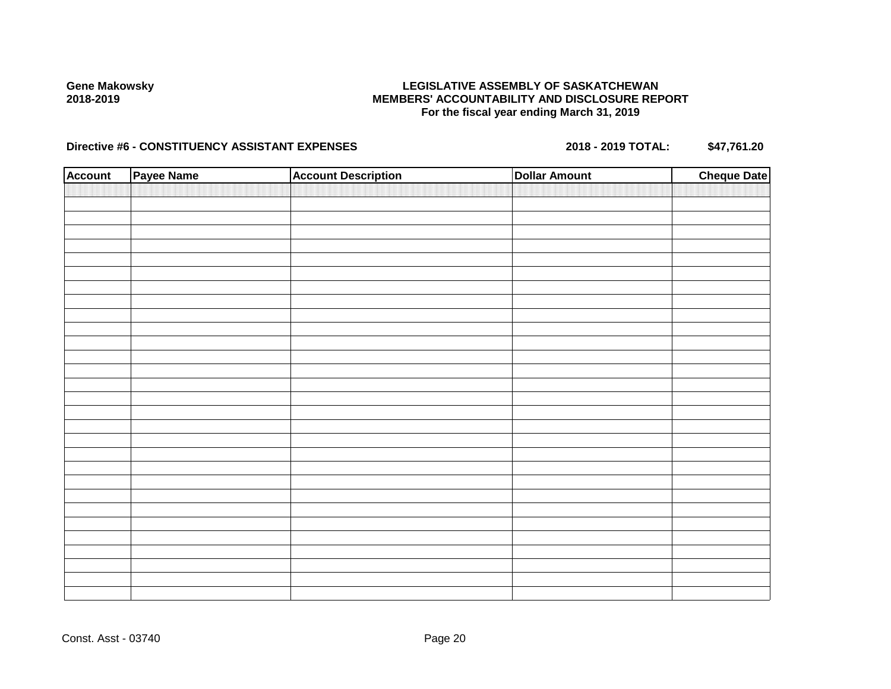# **LEGISLATIVE ASSEMBLY OF SASKATCHEWAN MEMBERS' ACCOUNTABILITY AND DISCLOSURE REPORT For the fiscal year ending March 31, 2019**

| <b>Account</b> | Payee Name | <b>Account Description</b> | <b>Dollar Amount</b> | <b>Cheque Date</b> |
|----------------|------------|----------------------------|----------------------|--------------------|
|                |            |                            |                      |                    |
|                |            |                            |                      |                    |
|                |            |                            |                      |                    |
|                |            |                            |                      |                    |
|                |            |                            |                      |                    |
|                |            |                            |                      |                    |
|                |            |                            |                      |                    |
|                |            |                            |                      |                    |
|                |            |                            |                      |                    |
|                |            |                            |                      |                    |
|                |            |                            |                      |                    |
|                |            |                            |                      |                    |
|                |            |                            |                      |                    |
|                |            |                            |                      |                    |
|                |            |                            |                      |                    |
|                |            |                            |                      |                    |
|                |            |                            |                      |                    |
|                |            |                            |                      |                    |
|                |            |                            |                      |                    |
|                |            |                            |                      |                    |
|                |            |                            |                      |                    |
|                |            |                            |                      |                    |
|                |            |                            |                      |                    |
|                |            |                            |                      |                    |
|                |            |                            |                      |                    |
|                |            |                            |                      |                    |
|                |            |                            |                      |                    |
|                |            |                            |                      |                    |
|                |            |                            |                      |                    |
|                |            |                            |                      |                    |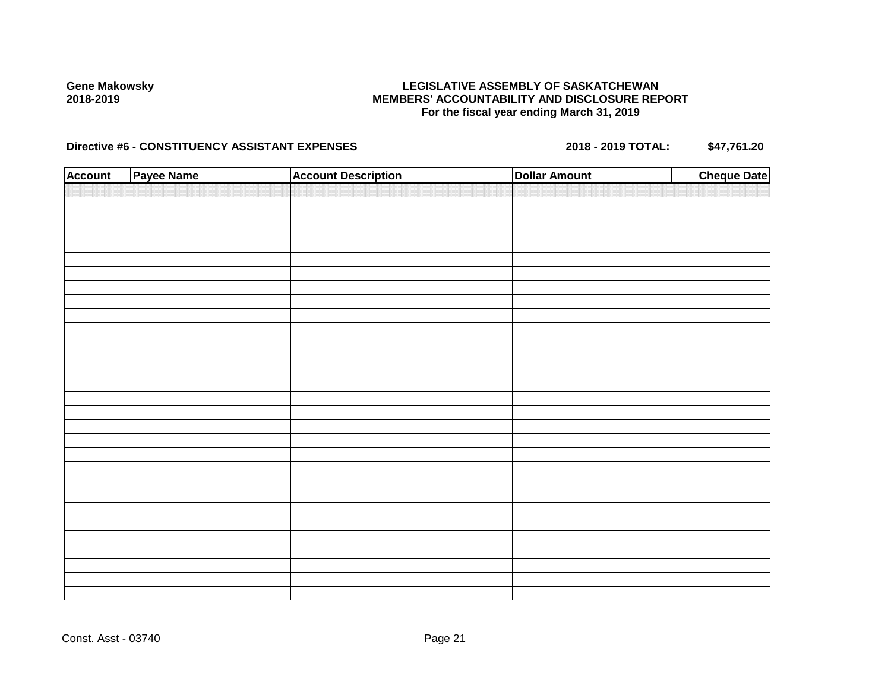# **LEGISLATIVE ASSEMBLY OF SASKATCHEWAN MEMBERS' ACCOUNTABILITY AND DISCLOSURE REPORT For the fiscal year ending March 31, 2019**

| <b>Account</b> | Payee Name | <b>Account Description</b> | <b>Dollar Amount</b> | <b>Cheque Date</b> |
|----------------|------------|----------------------------|----------------------|--------------------|
|                |            |                            |                      |                    |
|                |            |                            |                      |                    |
|                |            |                            |                      |                    |
|                |            |                            |                      |                    |
|                |            |                            |                      |                    |
|                |            |                            |                      |                    |
|                |            |                            |                      |                    |
|                |            |                            |                      |                    |
|                |            |                            |                      |                    |
|                |            |                            |                      |                    |
|                |            |                            |                      |                    |
|                |            |                            |                      |                    |
|                |            |                            |                      |                    |
|                |            |                            |                      |                    |
|                |            |                            |                      |                    |
|                |            |                            |                      |                    |
|                |            |                            |                      |                    |
|                |            |                            |                      |                    |
|                |            |                            |                      |                    |
|                |            |                            |                      |                    |
|                |            |                            |                      |                    |
|                |            |                            |                      |                    |
|                |            |                            |                      |                    |
|                |            |                            |                      |                    |
|                |            |                            |                      |                    |
|                |            |                            |                      |                    |
|                |            |                            |                      |                    |
|                |            |                            |                      |                    |
|                |            |                            |                      |                    |